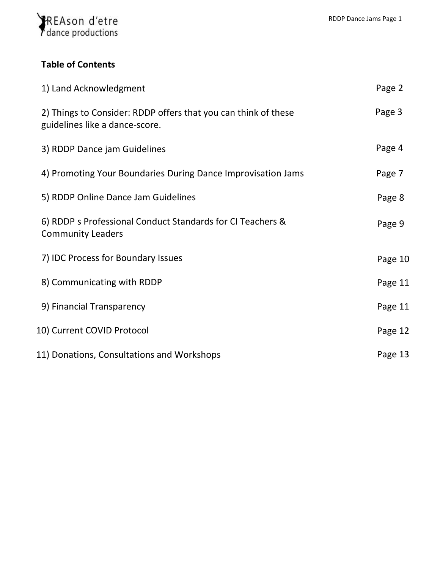## **Table of Contents**

| 1) Land Acknowledgment                                                                           | Page 2  |
|--------------------------------------------------------------------------------------------------|---------|
| 2) Things to Consider: RDDP offers that you can think of these<br>guidelines like a dance-score. | Page 3  |
| 3) RDDP Dance jam Guidelines                                                                     | Page 4  |
| 4) Promoting Your Boundaries During Dance Improvisation Jams                                     | Page 7  |
| 5) RDDP Online Dance Jam Guidelines                                                              | Page 8  |
| 6) RDDP s Professional Conduct Standards for CI Teachers &<br><b>Community Leaders</b>           | Page 9  |
| 7) IDC Process for Boundary Issues                                                               | Page 10 |
| 8) Communicating with RDDP                                                                       | Page 11 |
| 9) Financial Transparency                                                                        | Page 11 |
| 10) Current COVID Protocol                                                                       | Page 12 |
| 11) Donations, Consultations and Workshops                                                       | Page 13 |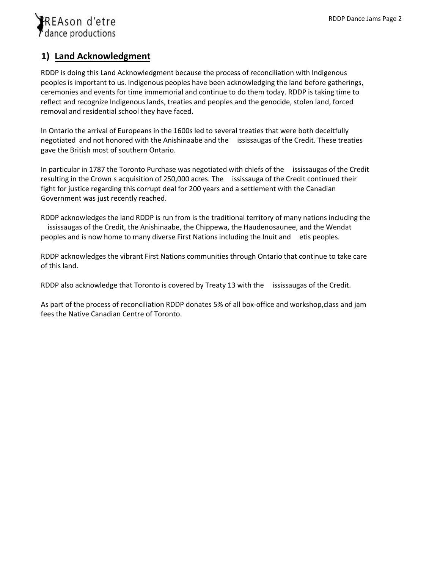## **1) Land Acknowledgment**

RDDP is doing this Land Acknowledgment because the process of reconciliation with Indigenous peoples is important to us. Indigenous peoples have been acknowledging the land before gatherings, ceremonies and events for time immemorial and continue to do them today. RDDP is taking time to reflect and recognize Indigenous lands, treaties and peoples and the genocide, stolen land, forced removal and residential school they have faced.

In Ontario the arrival of Europeans in the 1600s led to several treaties that were both deceitfully negotiated and not honored with the Anishinaabe and the ississaugas of the Credit. These treaties gave the British most of southern Ontario.

In particular in 1787 the Toronto Purchase was negotiated with chiefs of the ississaugas of the Credit resulting in the Crown s acquisition of 250,000 acres. The ississauga of the Credit continued their fight for justice regarding this corrupt deal for 200 years and a settlement with the Canadian Government was just recently reached.

RDDP acknowledges the land RDDP is run from is the traditional territory of many nations including the ississaugas of the Credit, the Anishinaabe, the Chippewa, the Haudenosaunee, and the Wendat peoples and is now home to many diverse First Nations including the Inuit and etis peoples.

RDDP acknowledges the vibrant First Nations communities through Ontario that continue to take care of this land.

RDDP also acknowledge that Toronto is covered by Treaty 13 with the ississaugas of the Credit.

As part of the process of reconciliation RDDP donates 5% of all box-office and workshop,class and jam fees the Native Canadian Centre of Toronto.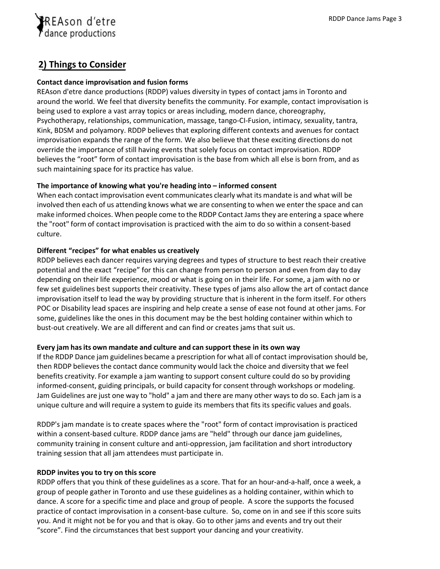

## **2) Things to Consider**

#### **Contact dance improvisation and fusion forms**

REAson d'etre dance productions (RDDP) values diversity in types of contact jams in Toronto and around the world. We feel that diversity benefits the community. For example, contact improvisation is being used to explore a vast array topics or areas including, modern dance, choreography, Psychotherapy, relationships, communication, massage, tango-CI-Fusion, intimacy, sexuality, tantra, Kink, BDSM and polyamory. RDDP believes that exploring different contexts and avenues for contact improvisation expands the range of the form. We also believe that these exciting directions do not override the importance of still having events that solely focus on contact improvisation. RDDP believes the "root" form of contact improvisation is the base from which all else is born from, and as such maintaining space for its practice has value.

### **The importance of knowing what you're heading into – informed consent**

When each contact improvisation event communicates clearly what its mandate is and what will be involved then each of us attending knows what we are consenting to when we enter the space and can make informed choices. When people come to the RDDP Contact Jams they are entering a space where the "root" form of contact improvisation is practiced with the aim to do so within a consent-based culture.

### **Different "recipes" for what enables us creatively**

RDDP believes each dancer requires varying degrees and types of structure to best reach their creative potential and the exact "recipe" for this can change from person to person and even from day to day depending on their life experience, mood or what is going on in their life. For some, a jam with no or few set guidelines best supports their creativity. These types of jams also allow the art of contact dance improvisation itself to lead the way by providing structure that is inherent in the form itself. For others POC or Disability lead spaces are inspiring and help create a sense of ease not found at other jams. For some, guidelines like the ones in this document may be the best holding container within which to bust-out creatively. We are all different and can find or creates jams that suit us.

#### **Every jam has its own mandate and culture and can support these in its own way**

If the RDDP Dance jam guidelines became a prescription for what all of contact improvisation should be, then RDDP believes the contact dance community would lack the choice and diversity that we feel benefits creativity. For example a jam wanting to support consent culture could do so by providing informed-consent, guiding principals, or build capacity for consent through workshops or modeling. Jam Guidelines are just one way to "hold" a jam and there are many other ways to do so. Each jam is a unique culture and will require a system to guide its members that fits its specific values and goals.

RDDP's jam mandate is to create spaces where the "root" form of contact improvisation is practiced within a consent-based culture. RDDP dance jams are "held" through our dance jam guidelines, community training in consent culture and anti-oppression, jam facilitation and short introductory training session that all jam attendees must participate in.

### **RDDP invites you to try on this score**

RDDP offers that you think of these guidelines as a score. That for an hour-and-a-half, once a week, a group of people gather in Toronto and use these guidelines as a holding container, within which to dance. A score for a specific time and place and group of people. A score the supports the focused practice of contact improvisation in a consent-base culture. So, come on in and see if this score suits you. And it might not be for you and that is okay. Go to other jams and events and try out their "score". Find the circumstances that best support your dancing and your creativity.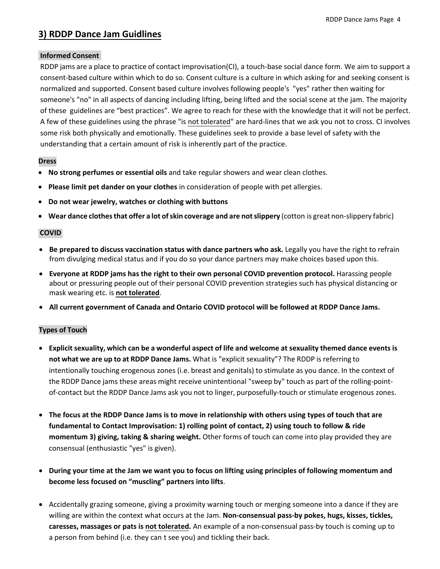## **3) RDDP Dance Jam Guidlines**

### **Informed Consent**

RDDP jams are a place to practice of contact improvisation(CI), a touch-base social dance form. We aim to support a consent-based culture within which to do so*.* Consent culture is a culture in which asking for and seeking consent is normalized and supported. Consent based culture involves following people's "yes" rather then waiting for someone's "no" in all aspects of dancing including lifting, being lifted and the social scene at the jam. The majority of these guidelines are "best practices". We agree to reach for these with the knowledge that it will not be perfect. A few of these guidelines using the phrase "is not tolerated" are hard-lines that we ask you not to cross. CI involves some risk both physically and emotionally. These guidelines seek to provide a base level of safety with the understanding that a certain amount of risk is inherently part of the practice.

### **Dress**

- **No strong perfumes or essential oils** and take regular showers and wear clean clothes.
- **Please limit pet dander on your clothes** in consideration of people with pet allergies.
- **Do not wear jewelry, watches or clothing with buttons**
- **Wear dance clothes that offer a lot of skin coverage and are not slippery** (cotton is great non-slippery fabric)

## **COVID**

- **Be prepared to discuss vaccination status with dance partners who ask.** Legally you have the right to refrain from divulging medical status and if you do so your dance partners may make choices based upon this.
- **Everyone at RDDP jams has the right to their own personal COVID prevention protocol.** Harassing people about or pressuring people out of their personal COVID prevention strategies such has physical distancing or mask wearing etc. is **not tolerated**.
- **All current government of Canada and Ontario COVID protocol will be followed at RDDP Dance Jams.**

## **Types of Touch**

- **Explicit sexuality, which can be a wonderful aspect of life and welcome at sexuality themed dance events is not what we are up to at RDDP Dance Jams.** What is "explicit sexuality"? The RDDP is referring to intentionally touching erogenous zones (i.e. breast and genitals) to stimulate as you dance. In the context of the RDDP Dance jams these areas might receive unintentional "sweep by" touch as part of the rolling-pointof-contact but the RDDP Dance Jams ask you not to linger, purposefully-touch or stimulate erogenous zones.
- **The focus at the RDDP Dance Jams is to move in relationship with others using types of touch that are fundamental to Contact Improvisation: 1) rolling point of contact, 2) using touch to follow & ride momentum 3) giving, taking & sharing weight.** Other forms of touch can come into play provided they are consensual (enthusiastic "yes" is given).
- **During your time at the Jam we want you to focus on lifting using principles of following momentum and become less focused on "muscling" partners into lifts**.
- Accidentally grazing someone, giving a proximity warning touch or merging someone into a dance if they are willing are within the context what occurs at the Jam. **Non-consensual pass-by pokes, hugs, kisses, tickles, caresses, massages or pats is not tolerated.** An example of a non-consensual pass-by touch is coming up to a person from behind (i.e. they can t see you) and tickling their back.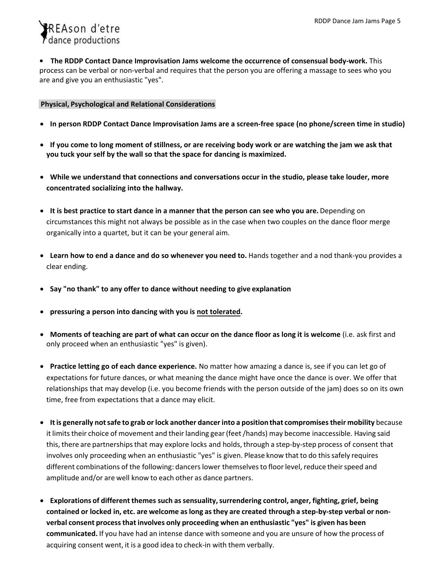## REAson d'etre<br>dance productions

**• The RDDP Contact Dance Improvisation Jams welcome the occurrence of consensual body-work.** This process can be verbal or non-verbal and requires that the person you are offering a massage to sees who you are and give you an enthusiastic "yes".

### **Physical, Psychological and Relational Considerations**

- **In person RDDP Contact Dance Improvisation Jams are a screen-free space (no phone/screen time in studio)**
- **If you come to long moment of stillness, or are receiving body work or are watching the jam we ask that you tuck your self by the wall so that the space for dancing is maximized.**
- **While we understand that connections and conversations occur in the studio, please take louder, more concentrated socializing into the hallway.**
- It is best practice to start dance in a manner that the person can see who you are. Depending on circumstances this might not always be possible as in the case when two couples on the dance floor merge organically into a quartet, but it can be your general aim.
- **Learn how to end a dance and do so whenever you need to.** Hands together and a nod thank-you provides a clear ending.
- **Say "no thank" to any offer to dance without needing to give explanation**
- **pressuring a person into dancing with you is not tolerated.**
- **Moments of teaching are part of what can occur on the dance floor as long it is welcome** (i.e. ask first and only proceed when an enthusiastic "yes" is given).
- **Practice letting go of each dance experience.** No matter how amazing a dance is, see if you can let go of expectations for future dances, or what meaning the dance might have once the dance is over. We offer that relationships that may develop (i.e. you become friends with the person outside of the jam) does so on its own time, free from expectations that a dance may elicit.
- **It is generally not safe to grab or lock another dancer into a position that compromises their mobility** because it limits their choice of movement and their landing gear (feet /hands) may become inaccessible. Having said this, there are partnerships that may explore locks and holds, through a step-by-step process of consent that involves only proceeding when an enthusiastic "yes" is given. Please know that to do this safely requires different combinations of the following: dancers lower themselves to floor level, reduce their speed and amplitude and/or are well know to each other as dance partners.
- **Explorations of different themes such as sensuality, surrendering control, anger, fighting, grief, being contained or locked in, etc. are welcome as long as they are created through a step-by-step verbal or nonverbal consent processthat involves only proceeding when an enthusiastic "yes" is given has been communicated.** If you have had an intense dance with someone and you are unsure of how the process of acquiring consent went, it is a good idea to check-in with them verbally.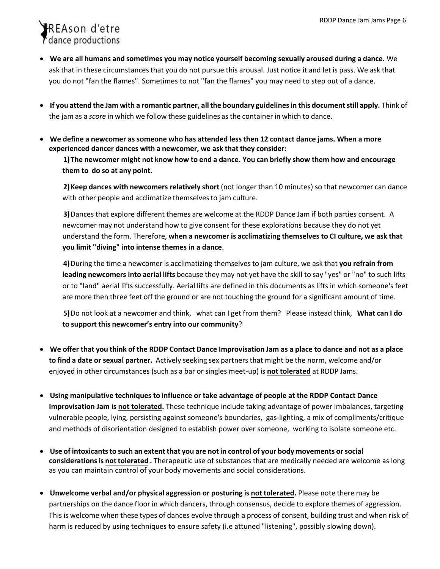- **We are all humans and sometimes you may notice yourself becoming sexually aroused during a dance.** We ask that in these circumstances that you do not pursue this arousal. Just notice it and let is pass. We ask that you do not "fan the flames". Sometimes to not "fan the flames" you may need to step out of a dance.
- **If you attend the Jam with a romantic partner, all the boundary guidelines in this document still apply.** Think of the jam as a *score* in which we follow these guidelines as the container in which to dance.
- **We define a newcomer as someone who has attended less then 12 contact dance jams. When a more experienced dancer dances with a newcomer, we ask that they consider:**

**1)The newcomer might not know how to end a dance. You can briefly show them how and encourage them to do so at any point.**

**2)Keep dances with newcomers relatively short** (not longer than 10 minutes) so that newcomer can dance with other people and acclimatize themselves to jam culture.

**3)**Dances that explore different themes are welcome at the RDDP Dance Jam if both parties consent. A newcomer may not understand how to give consent for these explorations because they do not yet understand the form. Therefore, **when a newcomer is acclimatizing themselves to CI culture, we ask that you limit "diving" into intense themes in a dance**.

**4)**During the time a newcomer is acclimatizing themselves to jam culture, we ask that **you refrain from leading newcomers into aerial lifts** because they may not yet have the skill to say "yes" or "no" to such lifts or to "land" aerial lifts successfully. Aerial lifts are defined in this documents as lifts in which someone's feet are more then three feet off the ground or are not touching the ground for a significant amount of time.

**5)**Do not look at a newcomer and think, "what can I get from them?" Please instead think, **What can I do to support this newcomer's entry into our community**?"

- **We offer that you think of the RDDP Contact Dance Improvisation Jam as a place to dance and not as a place to find a date or sexual partner.** Actively seeking sex partners that might be the norm, welcome and/or enjoyed in other circumstances (such as a bar or singles meet-up) is **not tolerated** at RDDP Jams.
- **Using manipulative techniques to influence or take advantage of people at the RDDP Contact Dance Improvisation Jam is not tolerated.** These technique include taking advantage of power imbalances, targeting vulnerable people, lying, persisting against someone's boundaries, gas-lighting, a mix of compliments/critique and methods of disorientation designed to establish power over someone, working to isolate someone etc.
- **Use of intoxicants to such an extent that you are not in control of your body movements or social considerationsis not tolerated .** Therapeutic use of substances that are medically needed are welcome as long as you can maintain control of your body movements and social considerations.
- **Unwelcome verbal and/or physical aggression or posturing is not tolerated.** Please note there may be partnerships on the dance floor in which dancers, through consensus, decide to explore themes of aggression. This is welcome when these types of dances evolve through a process of consent, building trust and when risk of harm is reduced by using techniques to ensure safety (i.e attuned "listening", possibly slowing down).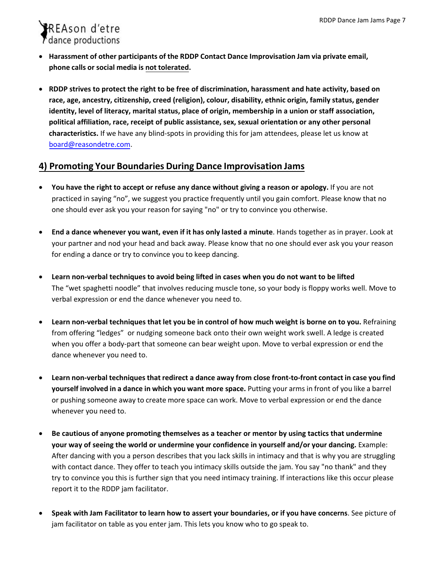

- **Harassment of other participants of the RDDP Contact Dance Improvisation Jam via private email, phone calls or social media is not tolerated.**
- **RDDP strives to protect the right to be free of discrimination, harassment and hate activity, based on race, age, ancestry, citizenship, creed (religion), colour, disability, ethnic origin, family status, gender identity, level of literacy, marital status, place of origin, membership in a union or staff association, political affiliation, race, receipt of public assistance, sex, sexual orientation or any other personal characteristics.** If we have any blind-spots in providing this for jam attendees, please let us know at [board@reasondetre.com.](mailto:board@reasondetre.com)

## **4) Promoting Your Boundaries During Dance Improvisation Jams**

- **You have the right to accept or refuse any dance without giving a reason or apology.** If you are not practiced in saying "no", we suggest you practice frequently until you gain comfort. Please know that no one should ever ask you your reason for saying "no" or try to convince you otherwise.
- **End a dance whenever you want, even if it has only lasted a minute**. Hands together as in prayer. Look at your partner and nod your head and back away. Please know that no one should ever ask you your reason for ending a dance or try to convince you to keep dancing.
- **Learn non-verbal techniques to avoid being lifted in cases when you do not want to be lifted** The "wet spaghetti noodle" that involves reducing muscle tone, so your body is floppy works well. Move to verbal expression or end the dance whenever you need to.
- **Learn non-verbal techniques that let you be in control of how much weight is borne on to you.** Refraining from offering "ledges" or nudging someone back onto their own weight work swell. A ledge is created when you offer a body-part that someone can bear weight upon. Move to verbal expression or end the dance whenever you need to.
- **Learn non-verbal techniques that redirect a dance away from close front-to-front contact in case you find yourself involved in a dance in which you want more space.** Putting your arms in front of you like a barrel or pushing someone away to create more space can work. Move to verbal expression or end the dance whenever you need to.
- **Be cautious of anyone promoting themselves as a teacher or mentor by using tactics that undermine your way of seeing the world or undermine your confidence in yourself and/or your dancing.** Example: After dancing with you a person describes that you lack skills in intimacy and that is why you are struggling with contact dance. They offer to teach you intimacy skills outside the jam. You say "no thank" and they try to convince you this is further sign that you need intimacy training. If interactions like this occur please report it to the RDDP jam facilitator.
- **Speak with Jam Facilitator to learn how to assert your boundaries, or if you have concerns**. See picture of jam facilitator on table as you enter jam. This lets you know who to go speak to.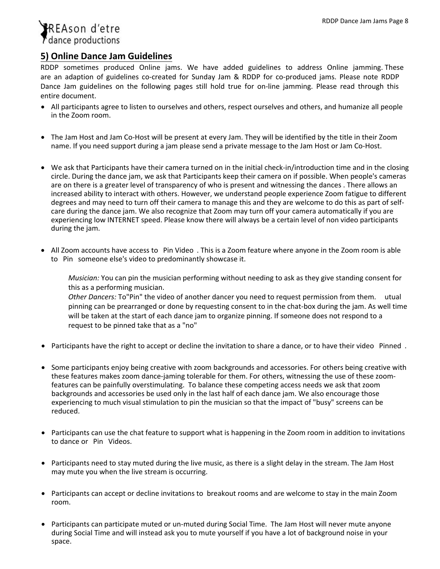## **REAson** d'etre dance productions

## **5) Online Dance Jam Guidelines**

RDDP sometimes produced Online jams. We have added guidelines to address Online jamming. These are an adaption of guidelines co-created for Sunday Jam & RDDP for co-produced jams. Please note RDDP Dance Jam guidelines on the following pages still hold true for on-line jamming. Please read through this entire document.

- All participants agree to listen to ourselves and others, respect ourselves and others, and humanize all people in the Zoom room.
- The Jam Host and Jam Co-Host will be present at every Jam. They will be identified by the title in their Zoom name. If you need support during a jam please send a private message to the Jam Host or Jam Co-Host.
- We ask that Participants have their camera turned on in the initial check-in/introduction time and in the closing circle. During the dance jam, we ask that Participants keep their camera on if possible. When people's cameras are on there is a greater level of transparency of who is present and witnessing the dances . There allows an increased ability to interact with others. However, we understand people experience Zoom fatigue to different degrees and may need to turn off their camera to manage this and they are welcome to do this as part of selfcare during the dance jam. We also recognize that Zoom may turn off your camera automatically if you are experiencing low INTERNET speed. Please know there will always be a certain level of non video participants during the jam.
- All Zoom accounts have access to Pin Video. This is a Zoom feature where anyone in the Zoom room is able to Pin someone else's video to predominantly showcase it.

*Musician:* You can pin the musician performing without needing to ask as they give standing consent for this as a performing musician.

*Other Dancers:* To"Pin" the video of another dancer you need to request permission from them. Mutual pinning can be prearranged or done by requesting consent to in the chat-box during the jam. As well time will be taken at the start of each dance jam to organize pinning. If someone does not respond to a request to be pinned take that as a "no"

- Participants have the right to accept or decline the invitation to share a dance, or to have their video Pinned.
- Some participants enjoy being creative with zoom backgrounds and accessories. For others being creative with these features makes zoom dance-jaming tolerable for them. For others, witnessing the use of these zoomfeatures can be painfully overstimulating. To balance these competing access needs we ask that zoom backgrounds and accessories be used only in the last half of each dance jam. We also encourage those experiencing to much visual stimulation to pin the musician so that the impact of "busy" screens can be reduced.
- Participants can use the chat feature to support what is happening in the Zoom room in addition to invitations to dance or Pin Videos.
- Participants need to stay muted during the live music, as there is a slight delay in the stream. The Jam Host may mute you when the live stream is occurring.
- Participants can accept or decline invitations to breakout rooms and are welcome to stay in the main Zoom room.
- Participants can participate muted or un-muted during Social Time. The Jam Host will never mute anyone during Social Time and will instead ask you to mute yourself if you have a lot of background noise in your space.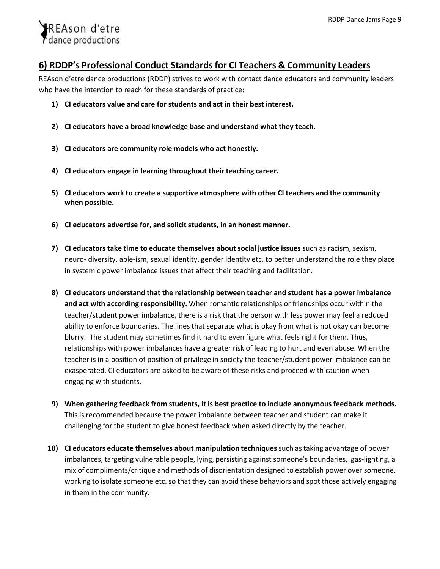## REAson d'etre<br>dance productions

## **6) RDDP's Professional Conduct Standards for CI Teachers & Community Leaders**

REAson d'etre dance productions (RDDP) strives to work with contact dance educators and community leaders who have the intention to reach for these standards of practice:

- **1) CI educators value and care for students and act in their best interest.**
- **2) CI educators have a broad knowledge base and understand what they teach.**
- **3) CI educators are community role models who act honestly.**
- **4) CI educators engage in learning throughout their teaching career.**
- **5) CI educators work to create a supportive atmosphere with other CI teachers and the community when possible.**
- **6) CI educators advertise for, and solicit students, in an honest manner.**
- **7) CI educators take time to educate themselves about social justice issues** such as racism, sexism, neuro- diversity, able-ism, sexual identity, gender identity etc. to better understand the role they place in systemic power imbalance issues that affect their teaching and facilitation.
- **8) CI educators understand that the relationship between teacher and student has a power imbalance and act with according responsibility.** When romantic relationships or friendships occur within the teacher/student power imbalance, there is a risk that the person with less power may feel a reduced ability to enforce boundaries. The lines that separate what is okay from what is not okay can become blurry. The student may sometimes find it hard to even figure what feels right for them. Thus, relationships with power imbalances have a greater risk of leading to hurt and even abuse. When the teacher is in a position of position of privilege in society the teacher/student power imbalance can be exasperated. CI educators are asked to be aware of these risks and proceed with caution when engaging with students.
- **9) When gathering feedback from students, it is best practice to include anonymous feedback methods.** This is recommended because the power imbalance between teacher and student can make it challenging for the student to give honest feedback when asked directly by the teacher.
- **10) CI educators educate themselves about manipulation techniques**such as taking advantage of power imbalances, targeting vulnerable people, lying, persisting against someone's boundaries, gas-lighting, a mix of compliments/critique and methods of disorientation designed to establish power over someone, working to isolate someone etc. so that they can avoid these behaviors and spot those actively engaging in them in the community.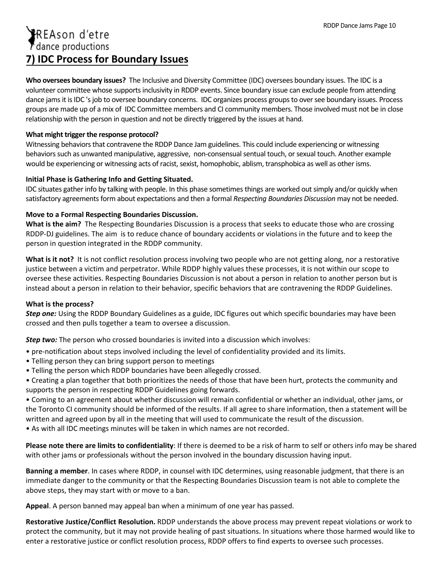## REAson d'etre dance productions **7) IDC Process for Boundary Issues**

**Who oversees boundary issues?** The Inclusive and Diversity Committee (IDC) oversees boundary issues. The IDC is a volunteer committee whose supports inclusivity in RDDP events. Since boundary issue can exclude people from attending dance jams it is IDC 's job to oversee boundary concerns. IDC organizes process groups to over see boundary issues. Process groups are made up of a mix of IDC Committee members and CI community members. Those involved must not be in close relationship with the person in question and not be directly triggered by the issues at hand.

### **What might trigger the response protocol?**

Witnessing behaviors that contravene the RDDP Dance Jam guidelines. This could include experiencing or witnessing behaviors such as unwanted manipulative, aggressive, non-consensual sentual touch, or sexual touch. Another example would be experiencing or witnessing acts of racist, sexist, homophobic, ablism, transphobica as well as other isms.

### **Initial Phase is Gathering Info and Getting Situated.**

IDC situates gather info by talking with people. In this phase sometimes things are worked outsimply and/or quickly when satisfactory agreements form about expectations and then a formal *Respecting Boundaries Discussion* may not be needed.

### **Move to a Formal Respecting Boundaries Discussion.**

**What is the aim?** The Respecting Boundaries Discussion is a process that seeks to educate those who are crossing RDDP-DJ guidelines. The aim is to reduce chance of boundary accidents or violations in the future and to keep the person in question integrated in the RDDP community.

**What is it not?** It is not conflict resolution process involving two people who are not getting along, nor a restorative justice between a victim and perpetrator. While RDDP highly values these processes, it is not within our scope to oversee these activities. Respecting Boundaries Discussion is not about a person in relation to another person but is instead about a person in relation to their behavior, specific behaviors that are contravening the RDDP Guidelines.

### **What is the process?**

*Step one:* Using the RDDP Boundary Guidelines as a guide, IDC figures out which specific boundaries may have been crossed and then pulls together a team to oversee a discussion.

*Step two:* The person who crossed boundaries is invited into a discussion which involves:

- pre-notification about steps involved including the level of confidentiality provided and its limits.
- Telling person they can bring support person to meetings
- Telling the person which RDDP boundaries have been allegedly crossed.
- Creating a plan together that both prioritizes the needs of those that have been hurt, protects the community and supports the person in respecting RDDP Guidelines going forwards.

• Coming to an agreement about whether discussion will remain confidential or whether an individual, other jams, or the Toronto CI community should be informed of the results. If all agree to share information, then a statement will be written and agreed upon by all in the meeting that will used to communicate the result of the discussion.

• As with all IDC meetings minutes will be taken in which names are not recorded.

**Please note there are limits to confidentiality**: If there is deemed to be a risk of harm to self or others info may be shared with other jams or professionals without the person involved in the boundary discussion having input.

**Banning a member**. In cases where RDDP, in counsel with IDC determines, using reasonable judgment, that there is an immediate danger to the community or that the Respecting Boundaries Discussion team is not able to complete the above steps, they may start with or move to a ban.

**Appeal**. A person banned may appeal ban when a minimum of one year has passed.

**Restorative Justice/Conflict Resolution.** RDDP understands the above process may prevent repeat violations or work to protect the community, but it may not provide healing of past situations. In situations where those harmed would like to enter a restorative justice or conflict resolution process, RDDP offers to find experts to oversee such processes.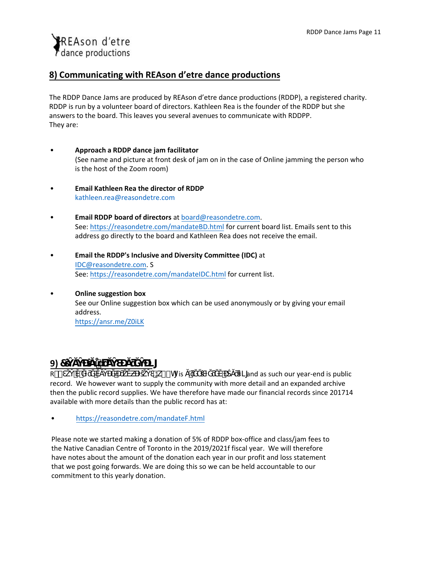## REAson d'etre<br>dance productions

## **8) Communicating with REAson d'etre dance productions**

The RDDP Dance Jams are produced by REAson d'etre dance productions (RDDP), a registered charity. RDDP is run by a volunteer board of directors. Kathleen Rea is the founder of the RDDP but she answers to the board. This leaves you several avenues to communicate with RDDPP. They are:

- **Approach a RDDP dance jam facilitator** (See name and picture at front desk of jam on in the case of Online jamming the person who is the host of the Zoom room)
- **[Email Kathleen Rea the director of RDDP](mailto:RDDPkathleen.rea@reasondetre.com%E2%80%A2Email)** [kathleen.rea@reasondetre.com](mailto:RDDPkathleen.rea@reasondetre.com%E2%80%A2Email)
- **[Email RDD](mailto:RDDPkathleen.rea@reasondetre.com%E2%80%A2Email)P board of directors** at [board@reasondetre.com.](mailto:board@reasondetre.com) See: [https://reasondetre.com/mandateBD.html](http://www.reasondetre.com/mandateBD.html) for current board list. Emails sent to this address go directly to the board and Kathleen Rea does not receive the email.
- **Email the RDDP's [Inclusive and Diversity C](mailto:atIDC@reasondetre.com)ommittee (IDC)** at IDC[@reasondetre.com.](mailto:including@reasondetre.com) S See: [https://reasondetre](mailto:atIDC@reasondetre.com)[.com/mandateIDC.html](http://www.reasondetre.com/mandateIDC.html) for current list.
- **Online suggestion box** See our Online suggestion box which can be used anonymously or by giving your email address. [https://ansr.me/Z0iLK](https://ansr.me/Z0iLK%E2%80%A2)

## **9) &ŝŶĂŶĐŝĂůdƌĂŶƐƉĂƌĞŶĐLJ**

 $R$ ) h is  $\sum_{\alpha}$  and as such our year-end is public record. We however want to supply the community with more detail and an expanded archive then the public record supplies. We have therefore have made our financial records since 201714 available with more details than the public record has at:

• [https://reasondetre.com/mandateF.html](http://www.reasondetre.com/mandateF.html)

Please note we started making a donation of 5% of RDDP box-office and class/jam fees to the Native Canadian Centre of Toronto in the 2019/2021f fiscal year. We will therefore have notes about the amount of the donation each year in our profit and loss statement that we post going forwards. We are doing this so we can be held accountable to our commitment to this yearly donation.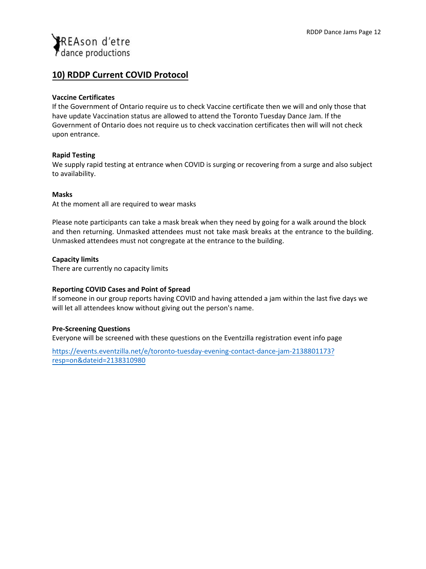## **10) RDDP Current COVID Protocol**

### **Vaccine Certificates**

If the Government of Ontario require us to check Vaccine certificate then we will and only those that have update Vaccination status are allowed to attend the Toronto Tuesday Dance Jam. If the Government of Ontario does not require us to check vaccination certificates then will will not check upon entrance.

### **Rapid Testing**

We supply rapid testing at entrance when COVID is surging or recovering from a surge and also subject to availability.

### **Masks**

[At the moment all are required to wear masks](mailto:RDDPkathleen.rea@reasondetre.com%E2%80%A2Email)

Please note participants can take a mask break when they need by going for a walk around the block and then returning. Unmasked attendees must not take mask breaks at the entrance to the building. Unmasked attendees must not congregate at the entrance to the building.

### **Capacity limits**

There [are currently no capacity limits](mailto:atIDC@reasondetre.com)

### **Reporting COVID Cases and Point of Spread**

If someone in our group reports having COVID and having attended a jam within the last five days we will let all attendees know without giving out the person's name.

#### **Pre-Screening Questions**

[Everyone will be screened with t](https://ansr.me/Z0iLK%E2%80%A2)hese questions on the Eventzilla registration event info page

https://events.eventzilla.net/e/toronto-tuesday-evening-contact-dance-jam-2138801173? resp=on&dateid=2138310980